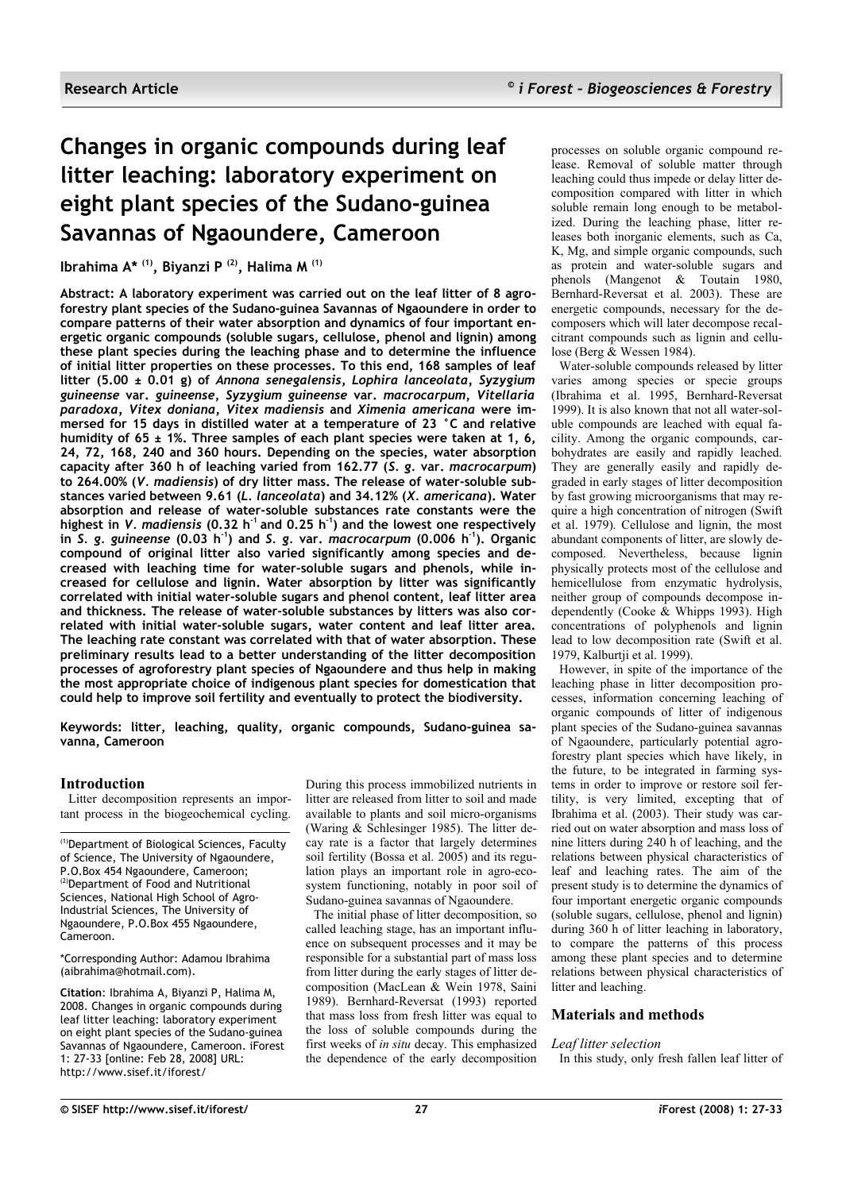# **Changes in organic compounds during leaf litter leaching: laboratory experiment on eight plant species of the Sudano-guinea Savannas of Ngaoundere, Cameroon**

**Ibrahima A\* (1), Biyanzi P (2), Halima M (1)**

**Abstract: A laboratory experiment was carried out on the leaf litter of 8 agroforestry plant species of the Sudano-guinea Savannas of Ngaoundere in order to compare patterns of their water absorption and dynamics of four important energetic organic compounds (soluble sugars, cellulose, phenol and lignin) among these plant species during the leaching phase and to determine the influence of initial litter properties on these processes. To this end, 168 samples of leaf litter (5.00 ± 0.01 g) of** *Annona senegalensis***,** *Lophira lanceolata, Syzygium guineense* **var.** *guineense***,** *Syzygium guineense* **var.** *macrocarpum***,** *Vitellaria paradoxa, Vitex doniana***,** *Vitex madiensis* **and** *Ximenia americana* **were immersed for 15 days in distilled water at a temperature of 23 °C and relative humidity of 65 ± 1%. Three samples of each plant species were taken at 1, 6, 24, 72, 168, 240 and 360 hours. Depending on the species, water absorption capacity after 360 h of leaching varied from 162.77 (***S. g.* **var.** *macrocarpum***) to 264.00% (***V. madiensis***) of dry litter mass. The release of water-soluble substances varied between 9.61 (***L. lanceolata***) and 34.12% (***X. americana***). Water absorption and release of water-soluble substances rate constants were the highest in** *V. madiensis* **(0.32 h -1 and 0.25 h -1) and the lowest one respectively in** *S. g. guineense* **(0.03 h -1) and** *S. g.* **var.** *macrocarpum* **(0.006 h -1). Organic compound of original litter also varied significantly among species and decreased with leaching time for water-soluble sugars and phenols, while increased for cellulose and lignin. Water absorption by litter was significantly correlated with initial water-soluble sugars and phenol content, leaf litter area and thickness. The release of water-soluble substances by litters was also correlated with initial water-soluble sugars, water content and leaf litter area. The leaching rate constant was correlated with that of water absorption. These preliminary results lead to a better understanding of the litter decomposition processes of agroforestry plant species of Ngaoundere and thus help in making the most appropriate choice of indigenous plant species for domestication that could help to improve soil fertility and eventually to protect the biodiversity.**

**Keywords: litter, leaching, quality, organic compounds, Sudano-guinea savanna, Cameroon**

# **Introduction**

Litter decomposition represents an important process in the biogeochemical cycling.

(1)Department of Biological Sciences, Faculty of Science, The University of Ngaoundere, P.O.Box 454 Ngaoundere, Cameroon; (2)Department of Food and Nutritional Sciences, National High School of Agro-Industrial Sciences, The University of Ngaoundere, P.O.Box 455 Ngaoundere, Cameroon.

\*Corresponding Author: Adamou Ibrahima (aibrahima@hotmail.com).

**Citation**: Ibrahima A, Biyanzi P, Halima M, 2008. Changes in organic compounds during leaf litter leaching: laboratory experiment on eight plant species of the Sudano-guinea Savannas of Ngaoundere, Cameroon. iForest 1: 27-33 [online: Feb 28, 2008] URL: http://www.sisef.it/iforest/

During this process immobilized nutrients in litter are released from litter to soil and made available to plants and soil micro-organisms (Waring & Schlesinger 1985). The litter decay rate is a factor that largely determines soil fertility (Bossa et al. 2005) and its regulation plays an important role in agro-ecosystem functioning, notably in poor soil of Sudano-guinea savannas of Ngaoundere.

The initial phase of litter decomposition, so called leaching stage, has an important influence on subsequent processes and it may be responsible for a substantial part of mass loss from litter during the early stages of litter decomposition (MacLean & Wein 1978, Saini 1989). Bernhard-Reversat (1993) reported that mass loss from fresh litter was equal to the loss of soluble compounds during the first weeks of *in situ* decay. This emphasized the dependence of the early decomposition processes on soluble organic compound release. Removal of soluble matter through leaching could thus impede or delay litter decomposition compared with litter in which soluble remain long enough to be metabolized. During the leaching phase, litter releases both inorganic elements, such as Ca, K, Mg, and simple organic compounds, such as protein and water-soluble sugars and phenols (Mangenot & Toutain 1980, Bernhard-Reversat et al. 2003). These are energetic compounds, necessary for the decomposers which will later decompose recalcitrant compounds such as lignin and cellulose (Berg & Wessen 1984).

Water-soluble compounds released by litter varies among species or specie groups (Ibrahima et al. 1995, Bernhard-Reversat 1999). It is also known that not all water-soluble compounds are leached with equal facility. Among the organic compounds, carbohydrates are easily and rapidly leached. They are generally easily and rapidly degraded in early stages of litter decomposition by fast growing microorganisms that may require a high concentration of nitrogen (Swift et al. 1979). Cellulose and lignin, the most abundant components of litter, are slowly decomposed. Nevertheless, because lignin physically protects most of the cellulose and hemicellulose from enzymatic hydrolysis, neither group of compounds decompose independently (Cooke  $\&$  Whipps 1993). High concentrations of polyphenols and lignin lead to low decomposition rate (Swift et al. 1979, Kalburtji et al. 1999).

However, in spite of the importance of the leaching phase in litter decomposition processes, information concerning leaching of organic compounds of litter of indigenous plant species of the Sudano-guinea savannas of Ngaoundere, particularly potential agroforestry plant species which have likely, in the future, to be integrated in farming systems in order to improve or restore soil fertility, is very limited, excepting that of Ibrahima et al. (2003). Their study was carried out on water absorption and mass loss of nine litters during 240 h of leaching, and the relations between physical characteristics of leaf and leaching rates. The aim of the present study is to determine the dynamics of four important energetic organic compounds (soluble sugars, cellulose, phenol and lignin) during 360 h of litter leaching in laboratory, to compare the patterns of this process among these plant species and to determine relations between physical characteristics of litter and leaching.

# **Materials and methods**

# *Leaf litter selection*

In this study, only fresh fallen leaf litter of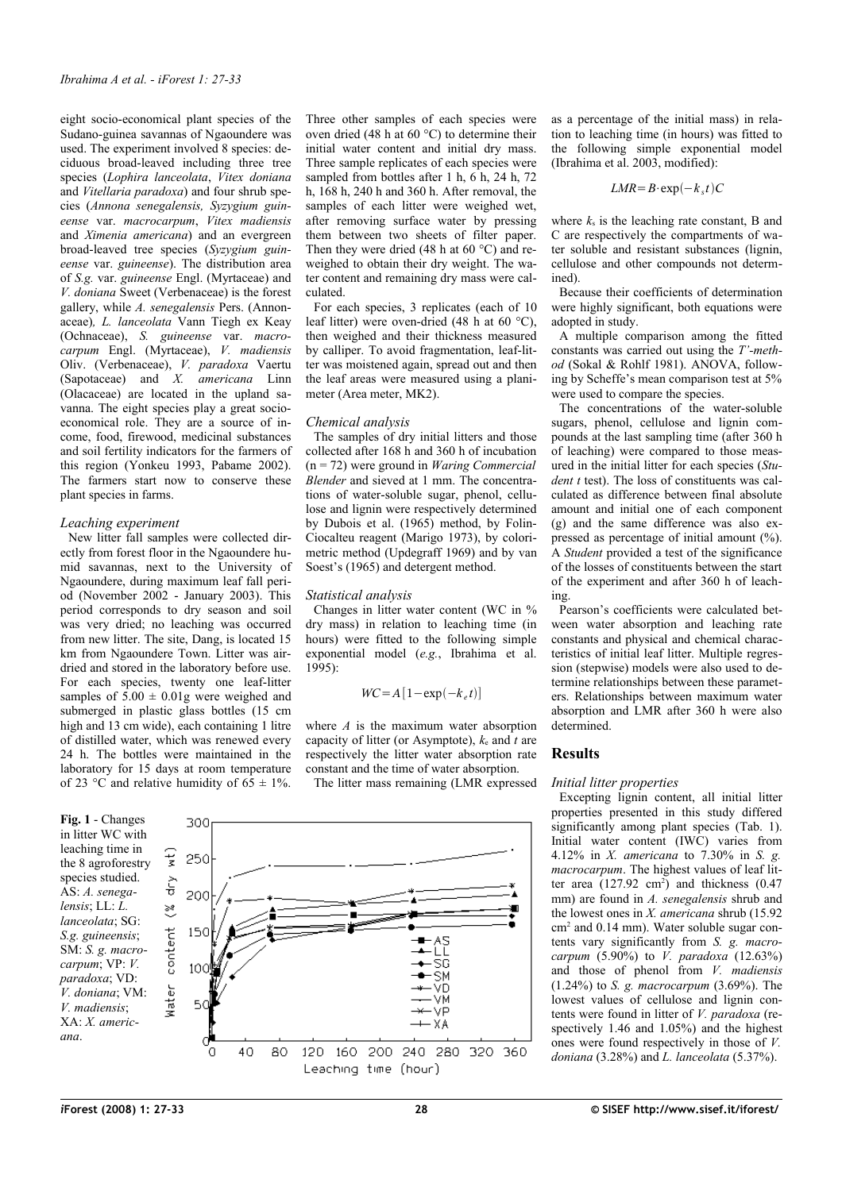eight socio-economical plant species of the Sudano-guinea savannas of Ngaoundere was used. The experiment involved 8 species: deciduous broad-leaved including three tree species (*Lophira lanceolata*, *Vitex doniana* and *Vitellaria paradoxa*) and four shrub species (*Annona senegalensis, Syzygium guineense* var. *macrocarpum*, *Vitex madiensis* and *Ximenia americana*) and an evergreen broad-leaved tree species (*Syzygium guineense* var. *guineense*). The distribution area of *S.g.* var. *guineense* Engl. (Myrtaceae) and *V. doniana* Sweet (Verbenaceae) is the forest gallery, while *A. senegalensis* Pers. (Annonaceae)*, L. lanceolata* Vann Tiegh ex Keay (Ochnaceae), *S. guineense* var. *macrocarpum* Engl. (Myrtaceae), *V. madiensis* Oliv. (Verbenaceae), *V. paradoxa* Vaertu (Sapotaceae) and *X. americana* Linn (Olacaceae) are located in the upland savanna. The eight species play a great socioeconomical role. They are a source of income, food, firewood, medicinal substances and soil fertility indicators for the farmers of this region (Yonkeu 1993, Pabame 2002). The farmers start now to conserve these plant species in farms.

## *Leaching experiment*

New litter fall samples were collected directly from forest floor in the Ngaoundere humid savannas, next to the University of Ngaoundere, during maximum leaf fall period (November 2002 - January 2003). This period corresponds to dry season and soil was very dried; no leaching was occurred from new litter. The site, Dang, is located 15 km from Ngaoundere Town. Litter was airdried and stored in the laboratory before use. For each species, twenty one leaf-litter samples of  $5.00 \pm 0.01$ g were weighed and submerged in plastic glass bottles (15 cm high and 13 cm wide), each containing 1 litre of distilled water, which was renewed every 24 h. The bottles were maintained in the laboratory for 15 days at room temperature of 23 °C and relative humidity of  $6\overline{5} \pm 1\%$ .

<span id="page-1-0"></span>**Fig. 1** - Changes in litter WC with leaching time in the 8 agroforestry species studied. AS: *A. senegalensis*; LL: *L. lanceolata*; SG: *S.g. guineensis*; SM: *S. g. macrocarpum*; VP: *V. paradoxa*; VD: *V. doniana*; VM: *V. madiensis*; XA: *X. americana*.

Three other samples of each species were oven dried (48 h at 60 °C) to determine their initial water content and initial dry mass. Three sample replicates of each species were sampled from bottles after 1 h, 6 h, 24 h, 72 h, 168 h, 240 h and 360 h. After removal, the samples of each litter were weighed wet, after removing surface water by pressing them between two sheets of filter paper. Then they were dried (48 h at 60  $^{\circ}$ C) and reweighed to obtain their dry weight. The water content and remaining dry mass were calculated.

For each species, 3 replicates (each of 10 leaf litter) were oven-dried (48 h at 60 °C), then weighed and their thickness measured by calliper. To avoid fragmentation, leaf-litter was moistened again, spread out and then the leaf areas were measured using a planimeter (Area meter, MK2).

## *Chemical analysis*

The samples of dry initial litters and those collected after 168 h and 360 h of incubation (n = 72) were ground in *Waring Commercial Blender* and sieved at 1 mm. The concentrations of water-soluble sugar, phenol, cellulose and lignin were respectively determined by Dubois et al. (1965) method, by Folin-Ciocalteu reagent (Marigo 1973), by colorimetric method (Updegraff 1969) and by van Soest's (1965) and detergent method.

### *Statistical analysis*

Changes in litter water content (WC in % dry mass) in relation to leaching time (in hours) were fitted to the following simple exponential model (*e.g.*, Ibrahima et al. 1995):

$$
WC = A \left[ 1 - \exp(-k_e t) \right]
$$

where *A* is the maximum water absorption capacity of litter (or Asymptote),  $k_e$  and  $\hat{t}$  are respectively the litter water absorption rate constant and the time of water absorption.

The litter mass remaining (LMR expressed



as a percentage of the initial mass) in relation to leaching time (in hours) was fitted to the following simple exponential model (Ibrahima et al. 2003, modified):

$$
LMR = B \cdot \exp(-k_s t)C
$$

where  $k_s$  is the leaching rate constant, B and C are respectively the compartments of water soluble and resistant substances (lignin, cellulose and other compounds not determined).

Because their coefficients of determination were highly significant, both equations were adopted in study.

A multiple comparison among the fitted constants was carried out using the *T'-method* (Sokal & Rohlf 1981). ANOVA, following by Scheffe's mean comparison test at 5% were used to compare the species.

The concentrations of the water-soluble sugars, phenol, cellulose and lignin compounds at the last sampling time (after 360 h of leaching) were compared to those measured in the initial litter for each species (*Student t* test). The loss of constituents was calculated as difference between final absolute amount and initial one of each component (g) and the same difference was also expressed as percentage of initial amount  $(\% )$ . A *Student* provided a test of the significance of the losses of constituents between the start of the experiment and after 360 h of leaching.

Pearson's coefficients were calculated between water absorption and leaching rate constants and physical and chemical characteristics of initial leaf litter. Multiple regression (stepwise) models were also used to determine relationships between these parameters. Relationships between maximum water absorption and LMR after 360 h were also determined.

# **Results**

## *Initial litter properties*

Excepting lignin content, all initial litter properties presented in this study differed significantly among plant species [\(Tab.](#page-2-0) 1). Initial water content (IWC) varies from 4.12% in *X. americana* to 7.30% in *S. g. macrocarpum*. The highest values of leaf litter area  $(127.92 \text{ cm}^2)$  and thickness  $(0.47$ mm) are found in *A. senegalensis* shrub and the lowest ones in *X. americana* shrub (15.92 cm<sup>2</sup> and 0.14 mm). Water soluble sugar contents vary significantly from *S. g. macrocarpum* (5.90%) to *V. paradoxa* (12.63%) and those of phenol from *V. madiensis* (1.24%) to *S. g. macrocarpum* (3.69%). The lowest values of cellulose and lignin contents were found in litter of *V. paradoxa* (respectively 1.46 and 1.05%) and the highest ones were found respectively in those of *V. doniana* (3.28%) and *L. lanceolata* (5.37%).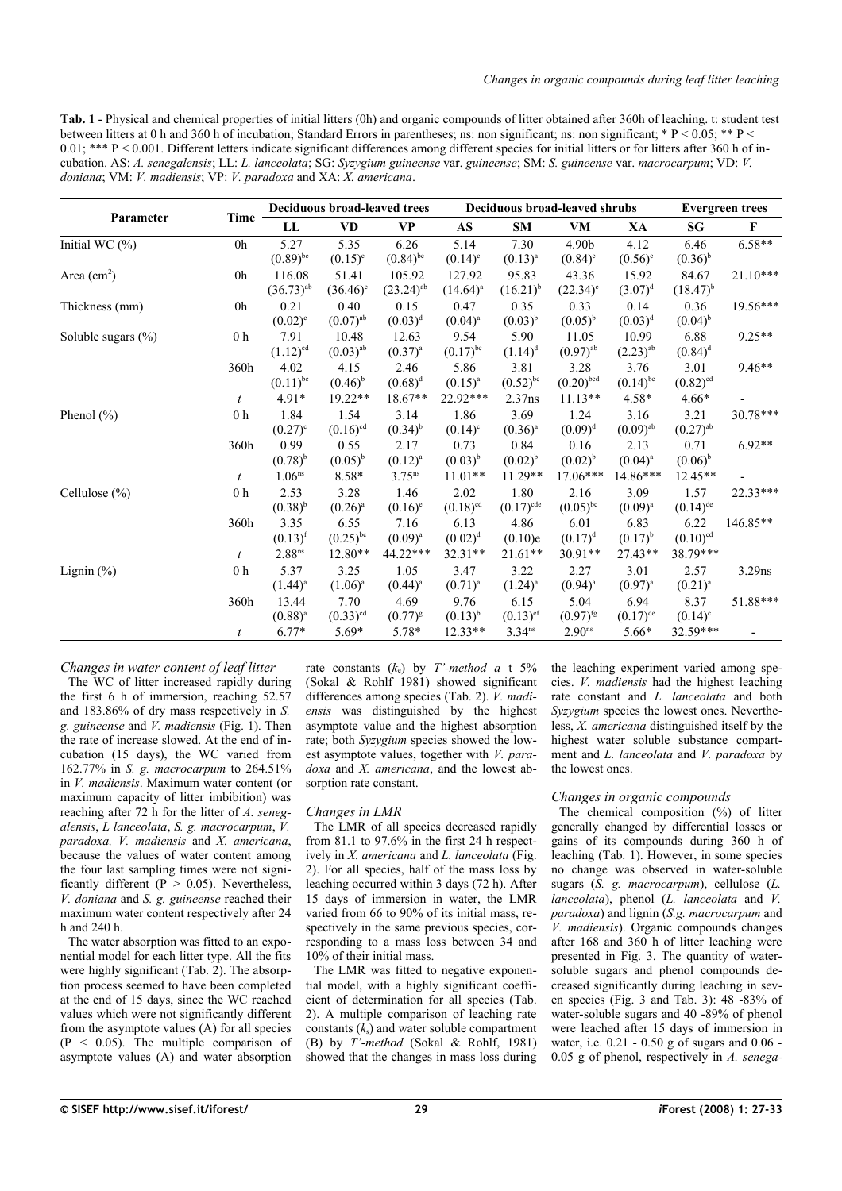<span id="page-2-0"></span>**Tab. 1** - Physical and chemical properties of initial litters (0h) and organic compounds of litter obtained after 360h of leaching. t: student test between litters at 0 h and 360 h of incubation; Standard Errors in parentheses; ns: non significant; ns: non significant; \* P < 0.05; \*\* P <  $0.01$ ; \*\*\* P < 0.001. Different letters indicate significant differences among different species for initial litters or for litters after 360 h of incubation. AS: *A. senegalensis*; LL: *L. lanceolata*; SG: *Syzygium guineense* var. *guineense*; SM: *S. guineense* var. *macrocarpum*; VD: *V. doniana*; VM: *V. madiensis*; VP: *V. paradoxa* and XA: *X. americana*.

|                       |                | <b>Deciduous broad-leaved trees</b> |                        |                         | Deciduous broad-leaved shrubs |                         |                        |                        | <b>Evergreen</b> trees |              |
|-----------------------|----------------|-------------------------------------|------------------------|-------------------------|-------------------------------|-------------------------|------------------------|------------------------|------------------------|--------------|
| Parameter             | Time           | LL                                  | <b>VD</b>              | <b>VP</b>               | AS                            | <b>SM</b>               | <b>VM</b>              | XA                     | SG                     | $\mathbf{F}$ |
| Initial WC $(\% )$    | 0h             | 5.27                                | 5.35                   | 6.26                    | 5.14                          | 7.30                    | 4.90b                  | 4.12                   | 6.46                   | $6.58**$     |
|                       |                | $(0.89)$ <sup>bc</sup>              | $(0.15)^{c}$           | $(0.84)$ <sup>bc</sup>  | $(0.14)^c$                    | $(0.13)^{a}$            | $(0.84)^c$             | $(0.56)^{\circ}$       | $(0.36)^{b}$           |              |
| Area $(cm2)$          | 0h             | 116.08                              | 51.41                  | 105.92                  | 127.92                        | 95.83                   | 43.36                  | 15.92                  | 84.67                  | $21.10***$   |
|                       |                | $(36.73)^{ab}$                      | $(36.46)$ <sup>c</sup> | $(23.24)$ <sup>ab</sup> | $(14.64)^{a}$                 | $(16.21)^{b}$           | $(22.34)^c$            | $(3.07)^d$             | $(18.47)^{b}$          |              |
| Thickness (mm)        | 0 <sub>h</sub> | 0.21                                | 0.40                   | 0.15                    | 0.47                          | 0.35                    | 0.33                   | 0.14                   | 0.36                   | $19.56***$   |
|                       |                | $(0.02)^{c}$                        | $(0.07)$ <sup>ab</sup> | $(0.03)^d$              | $(0.04)^{a}$                  | $(0.03)^{b}$            | $(0.05)^{b}$           | $(0.03)^d$             | $(0.04)^{b}$           |              |
| Soluble sugars $(\%)$ | 0 <sub>h</sub> | 7.91                                | 10.48                  | 12.63                   | 9.54                          | 5.90                    | 11.05                  | 10.99                  | 6.88                   | $9.25**$     |
|                       |                | $(1.12)^{cd}$                       | $(0.03)$ <sup>ab</sup> | $(0.37)$ <sup>a</sup>   | $(0.17)$ <sup>bc</sup>        | $(1.14)^d$              | $(0.97)$ <sup>ab</sup> | $(2.23)$ <sup>ab</sup> | $(0.84)^d$             |              |
|                       | 360h           | 4.02                                | 4.15                   | 2.46                    | 5.86                          | 3.81                    | 3.28                   | 3.76                   | 3.01                   | $9.46**$     |
|                       |                | $(0.11)^{bc}$                       | $(0.46)^{b}$           | $(0.68)^d$              | $(0.15)^{a}$                  | $(0.52)^{bc}$           | $(0.20)$ bcd           | $(0.14)$ <sup>bc</sup> | $(0.82)$ <sup>cd</sup> |              |
|                       | t              | $4.91*$                             | 19.22**                | $18.67**$               | 22.92***                      | 2.37ns                  | $11.13**$              | 4.58*                  | $4.66*$                |              |
| Phenol $(\% )$        | 0 <sub>h</sub> | 1.84                                | 1.54                   | 3.14                    | 1.86                          | 3.69                    | 1.24                   | 3.16                   | 3.21                   | 30.78***     |
|                       |                | $(0.27)^{c}$                        | $(0.16)$ <sup>cd</sup> | $(0.34)^{b}$            | $(0.14)^c$                    | $(0.36)$ <sup>a</sup>   | $(0.09)^d$             | $(0.09)$ <sup>ab</sup> | $(0.27)$ <sup>ab</sup> |              |
|                       | 360h           | 0.99                                | 0.55                   | 2.17                    | 0.73                          | 0.84                    | 0.16                   | 2.13                   | 0.71                   | $6.92**$     |
|                       |                | $(0.78)^{b}$                        | $(0.05)^{b}$           | $(0.12)^{a}$            | $(0.03)^{b}$                  | $(0.02)^{b}$            | $(0.02)^{b}$           | $(0.04)^{a}$           | $(0.06)^{b}$           |              |
|                       | $\mathfrak{t}$ | 1.06 <sup>ns</sup>                  | 8.58*                  | $3.75^{ns}$             | $11.01**$                     | $11.29**$               | $17.06***$             | 14.86***               | $12.45**$              |              |
| Cellulose $(\%)$      | 0 <sub>h</sub> | 2.53                                | 3.28                   | 1.46                    | 2.02                          | 1.80                    | 2.16                   | 3.09                   | 1.57                   | 22.33***     |
|                       |                | $(0.38)^{b}$                        | $(0.26)^{a}$           | $(0.16)^e$              | $(0.18)$ <sup>cd</sup>        | $(0.17)$ <sup>cde</sup> | $(0.05)^{bc}$          | $(0.09)^{a}$           | $(0.14)$ <sup>de</sup> |              |
|                       | 360h           | 3.35                                | 6.55                   | 7.16                    | 6.13                          | 4.86                    | 6.01                   | 6.83                   | 6.22                   | 146.85**     |
|                       |                | $(0.13)$ <sup>f</sup>               | $(0.25)$ <sup>bc</sup> | $(0.09)^{a}$            | $(0.02)^d$                    | (0.10)e                 | $(0.17)^d$             | $(0.17)^{b}$           | $(0.10)$ <sup>cd</sup> |              |
|                       | t              | $2.88$ ns                           | 12.80**                | 44.22***                | 32.31**                       | $21.61**$               | 30.91**                | 27.43**                | 38.79***               |              |
| Lignin $(\%)$         | 0 <sub>h</sub> | 5.37                                | 3.25                   | 1.05                    | 3.47                          | 3.22                    | 2.27                   | 3.01                   | 2.57                   | $3.29$ ns    |
|                       |                | $(1.44)^{a}$                        | $(1.06)^{a}$           | $(0.44)^{a}$            | $(0.71)^{a}$                  | $(1.24)^{a}$            | $(0.94)^{a}$           | $(0.97)^{a}$           | $(0.21)^{a}$           |              |
|                       | 360h           | 13.44                               | 7.70                   | 4.69                    | 9.76                          | 6.15                    | 5.04                   | 6.94                   | 8.37                   | 51.88***     |
|                       |                | $(0.88)^{a}$                        | $(0.33)$ <sup>cd</sup> | $(0.77)^{8}$            | $(0.13)^{b}$                  | $(0.13)$ <sup>ef</sup>  | $(0.97)$ <sup>fg</sup> | $(0.17)$ <sup>de</sup> | $(0.14)^c$             |              |
|                       |                | $6.77*$                             | $5.69*$                | 5.78*                   | $12.33**$                     | $3.34^{ns}$             | 2.90 <sup>ns</sup>     | $5.66*$                | 32.59***               |              |

*Changes in water content of leaf litter* The WC of litter increased rapidly during

the first 6 h of immersion, reaching 52.57 and 183.86% of dry mass respectively in *S. g. guineense* and *V. madiensis* [\(Fig.](#page-1-0) 1). Then the rate of increase slowed. At the end of incubation (15 days), the WC varied from 162.77% in *S. g. macrocarpum* to 264.51% in *V. madiensis*. Maximum water content (or maximum capacity of litter imbibition) was reaching after 72 h for the litter of *A. senegalensis*, *L lanceolata*, *S. g. macrocarpum*, *V. paradoxa, V. madiensis* and *X. americana*, because the values of water content among the four last sampling times were not significantly different ( $P > 0.05$ ). Nevertheless, *V. doniana* and *S. g. guineense* reached their maximum water content respectively after 24 h and 240 h.

The water absorption was fitted to an exponential model for each litter type. All the fits were highly significant [\(Tab.](#page-3-0) 2). The absorption process seemed to have been completed at the end of 15 days, since the WC reached values which were not significantly different from the asymptote values (A) for all species  $(P < 0.05)$ . The multiple comparison of asymptote values (A) and water absorption rate constants  $(k_e)$  by *T*'-method *a* t 5% (Sokal & Rohlf 1981) showed significant differences among species [\(Tab.](#page-3-0) 2). *V. madiensis* was distinguished by the highest asymptote value and the highest absorption rate; both *Syzygium* species showed the lowest asymptote values, together with *V. paradoxa* and *X. americana*, and the lowest absorption rate constant.

## *Changes in LMR*

The LMR of all species decreased rapidly from 81.1 to 97.6% in the first 24 h respectively in *X. americana* and *L. lanceolata* [\(Fig.](#page-3-1) [2\)](#page-3-1). For all species, half of the mass loss by leaching occurred within 3 days (72 h). After 15 days of immersion in water, the LMR varied from 66 to 90% of its initial mass, respectively in the same previous species, corresponding to a mass loss between 34 and 10% of their initial mass.

The LMR was fitted to negative exponential model, with a highly significant coefficient of determination for all species [\(Tab.](#page-3-0) [2\)](#page-3-0). A multiple comparison of leaching rate constants  $(k<sub>s</sub>)$  and water soluble compartment (B) by *T'-method* (Sokal & Rohlf, 1981) showed that the changes in mass loss during the leaching experiment varied among species. *V. madiensis* had the highest leaching rate constant and *L. lanceolata* and both *Syzygium* species the lowest ones. Nevertheless, *X. americana* distinguished itself by the highest water soluble substance compartment and *L. lanceolata* and *V. paradoxa* by the lowest ones.

# *Changes in organic compounds*

The chemical composition (%) of litter generally changed by differential losses or gains of its compounds during 360 h of leaching [\(Tab.](#page-2-0) 1). However, in some species no change was observed in water-soluble sugars (*S. g. macrocarpum*), cellulose (*L. lanceolata*), phenol (*L. lanceolata* and *V. paradoxa*) and lignin (*S.g. macrocarpum* and *V. madiensis*). Organic compounds changes after 168 and 360 h of litter leaching were presented in [Fig.](#page-4-1) 3. The quantity of watersoluble sugars and phenol compounds decreased significantly during leaching in seven species [\(Fig.](#page-4-1) 3 and [Tab.](#page-4-0) 3): 48 -83% of water-soluble sugars and 40 -89% of phenol were leached after 15 days of immersion in water, i.e. 0.21 - 0.50 g of sugars and 0.06 - 0.05 g of phenol, respectively in *A. senega*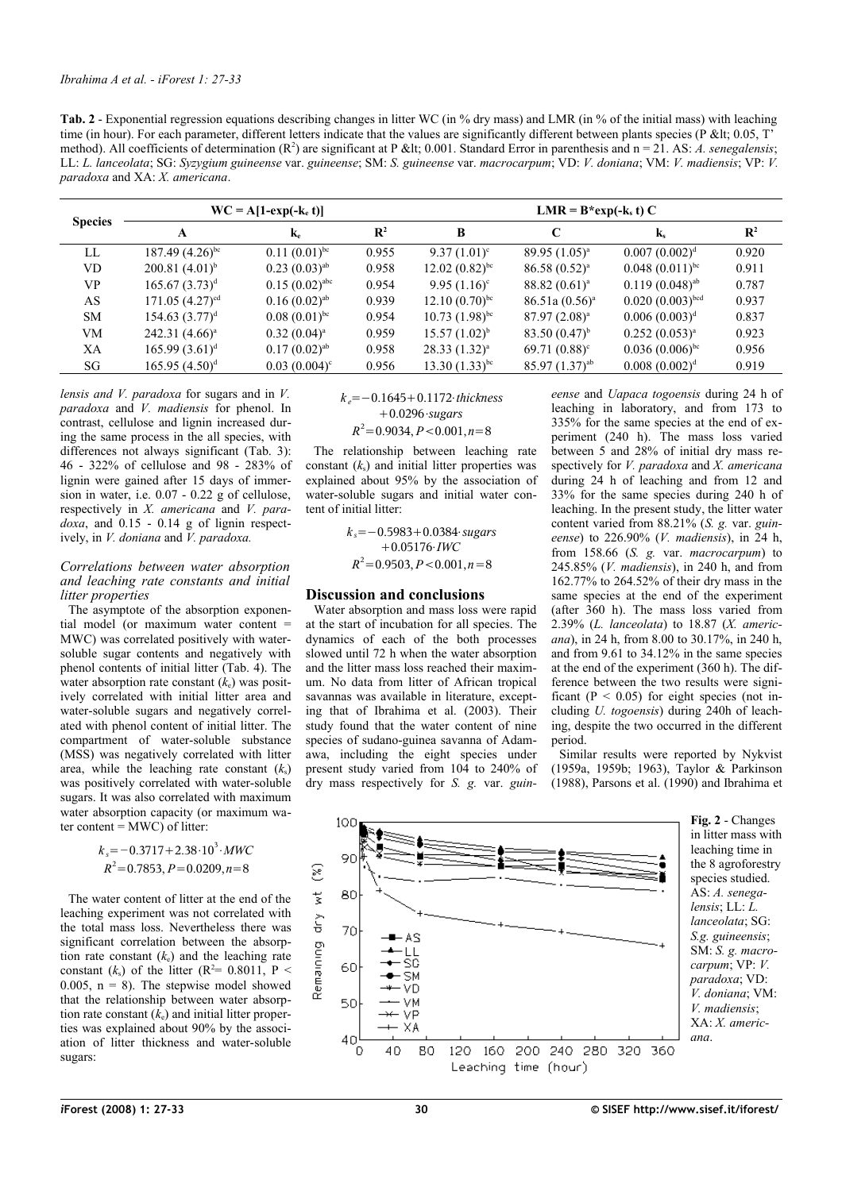<span id="page-3-0"></span>

| <b>Tab. 2</b> - Exponential regression equations describing changes in litter WC (in % dry mass) and LMR (in % of the initial mass) with leaching          |
|------------------------------------------------------------------------------------------------------------------------------------------------------------|
| time (in hour). For each parameter, different letters indicate that the values are significantly different between plants species ( $P \< H$ ; 0.05, $T$ ) |
| method). All coefficients of determination $(R^2)$ are significant at P &It 0.001. Standard Error in parenthesis and $n = 21$ . AS: A. senegalensis;       |
| LL: L. lanceolata; SG: Syzygium guineense var. guineense; SM: S. guineense var. macrocarpum; VD: V. doniana; VM: V. madiensis; VP: V.                      |
| <i>paradoxa</i> and XA: X. <i>americana</i> .                                                                                                              |

| <b>Species</b> |                      | $WC = A[1-exp(-k_e t)]$ |                | $LMR = B*exp(-k, t) C$       |                    |                      |                |  |
|----------------|----------------------|-------------------------|----------------|------------------------------|--------------------|----------------------|----------------|--|
|                | A                    | $\mathbf{k}$ e          | $\mathbf{R}^2$ | B                            | C                  | $\mathbf{k}$         | $\mathbf{R}^2$ |  |
| LL             | $187.49(4.26)^{bc}$  | $0.11(0.01)^{bc}$       | 0.955          | $9.37(1.01)^c$               | $89.95(1.05)^{a}$  | $0.007(0.002)^d$     | 0.920          |  |
| <b>VD</b>      | $200.81~(4.01)^{b}$  | $0.23(0.03)^{ab}$       | 0.958          | $12.02 (0.82)^{bc}$          | $86.58(0.52)^{a}$  | $0.048(0.011)^{bc}$  | 0.911          |  |
| VP             | $165.67(3.73)^d$     | $0.15(0.02)^{abc}$      | 0.954          | $9.95(1.16)^c$               | $88.82(0.61)^a$    | $0.119(0.048)^{ab}$  | 0.787          |  |
| AS             | $171.05 (4.27)^{cd}$ | $0.16(0.02)^{ab}$       | 0.939          | $12.10(0.70)^{bc}$           | $86.51a(0.56)^a$   | $0.020(0.003)^{bcd}$ | 0.937          |  |
| <b>SM</b>      | $154.63 (3.77)^d$    | $0.08(0.01)^{bc}$       | 0.954          | $10.73$ $(1.98)^{bc}$        | $87.97(2.08)^a$    | $0.006(0.003)^d$     | 0.837          |  |
| VM             | $242.31 (4.66)^a$    | $0.32(0.04)^a$          | 0.959          | $15.57(1.02)^{b}$            | 83.50 $(0.47)^{b}$ | $0.252(0.053)^{a}$   | 0.923          |  |
| XА             | $165.99 (3.61)^d$    | $0.17(0.02)^{ab}$       | 0.958          | $28.33(1.32)^{a}$            | $69.71(0.88)^c$    | $0.036(0.006)^{bc}$  | 0.956          |  |
| SG             | $165.95 (4.50)^d$    | $0.03~(0.004)^c$        | 0.956          | 13.30 $(1.33)$ <sup>bc</sup> | $85.97(1.37)^{ab}$ | $0.008~(0.002)^d$    | 0.919          |  |

*lensis and V. paradoxa* for sugars and in *V. paradoxa* and *V. madiensis* for phenol. In contrast, cellulose and lignin increased during the same process in the all species, with differences not always significant [\(Tab.](#page-4-0) 3): 46 - 322% of cellulose and 98 - 283% of lignin were gained after 15 days of immersion in water, i.e. 0.07 - 0.22 g of cellulose, respectively in *X. americana* and *V. paradoxa*, and 0.15 - 0.14 g of lignin respectively, in *V. doniana* and *V. paradoxa.*

## *Correlations between water absorption and leaching rate constants and initial litter properties*

The asymptote of the absorption exponential model (or maximum water content = MWC) was correlated positively with watersoluble sugar contents and negatively with phenol contents of initial litter [\(Tab.](#page-5-0) 4). The water absorption rate constant (*k*e) was positively correlated with initial litter area and water-soluble sugars and negatively correlated with phenol content of initial litter. The compartment of water-soluble substance (MSS) was negatively correlated with litter area, while the leaching rate constant  $(k<sub>s</sub>)$ was positively correlated with water-soluble sugars. It was also correlated with maximum water absorption capacity (or maximum water content  $=$  MWC) of litter:

$$
k_s = -0.3717 + 2.38 \cdot 10^3 \cdot MWC
$$
  

$$
R^2 = 0.7853, P = 0.0209, n = 8
$$

The water content of litter at the end of the leaching experiment was not correlated with the total mass loss. Nevertheless there was significant correlation between the absorption rate constant  $(k_e)$  and the leaching rate constant  $(k_s)$  of the litter  $(R^2= 0.8011, P <$ 0.005,  $n = 8$ ). The stepwise model showed that the relationship between water absorption rate constant  $(k_e)$  and initial litter properties was explained about 90% by the association of litter thickness and water-soluble sugars:

$$
k_e = -0.1645 + 0.1172 \cdot thickness
$$
  
+ 0.0296-sugars  

$$
R^2 = 0.9034, P < 0.001, n = 8
$$

The relationship between leaching rate constant  $(k<sub>s</sub>)$  and initial litter properties was explained about 95% by the association of water-soluble sugars and initial water content of initial litter:

> *k*<sub>*s*</sub>=−0.5983+0.0384⋅*sugars* 0.05176⋅*IWC*  $R^2 = 0.9503, P < 0.001, n = 8$

# **Discussion and conclusions**

Water absorption and mass loss were rapid at the start of incubation for all species. The dynamics of each of the both processes slowed until 72 h when the water absorption and the litter mass loss reached their maximum. No data from litter of African tropical savannas was available in literature, excepting that of Ibrahima et al. (2003). Their study found that the water content of nine species of sudano-guinea savanna of Adamawa, including the eight species under present study varied from 104 to 240% of dry mass respectively for *S. g.* var. *guin-*

*eense* and *Uapaca togoensis* during 24 h of leaching in laboratory, and from 173 to 335% for the same species at the end of experiment (240 h). The mass loss varied between 5 and 28% of initial dry mass respectively for *V. paradoxa* and *X. americana* during 24 h of leaching and from 12 and 33% for the same species during 240 h of leaching. In the present study, the litter water content varied from 88.21% (*S. g.* var. *guineense*) to 226.90% (*V. madiensis*), in 24 h, from 158.66 (*S. g.* var. *macrocarpum*) to 245.85% (*V. madiensis*), in 240 h, and from 162.77% to 264.52% of their dry mass in the same species at the end of the experiment (after 360 h). The mass loss varied from 2.39% (*L. lanceolata*) to 18.87 (*X. americana*), in 24 h, from 8.00 to 30.17%, in 240 h, and from 9.61 to 34.12% in the same species at the end of the experiment (360 h). The difference between the two results were significant ( $P < 0.05$ ) for eight species (not including *U. togoensis*) during 240h of leaching, despite the two occurred in the different period.

<span id="page-3-1"></span>Similar results were reported by Nykvist (1959a, 1959b; 1963), Taylor & Parkinson  $(1988)$ , Parsons et al.  $(1990)$  and Ibrahima et

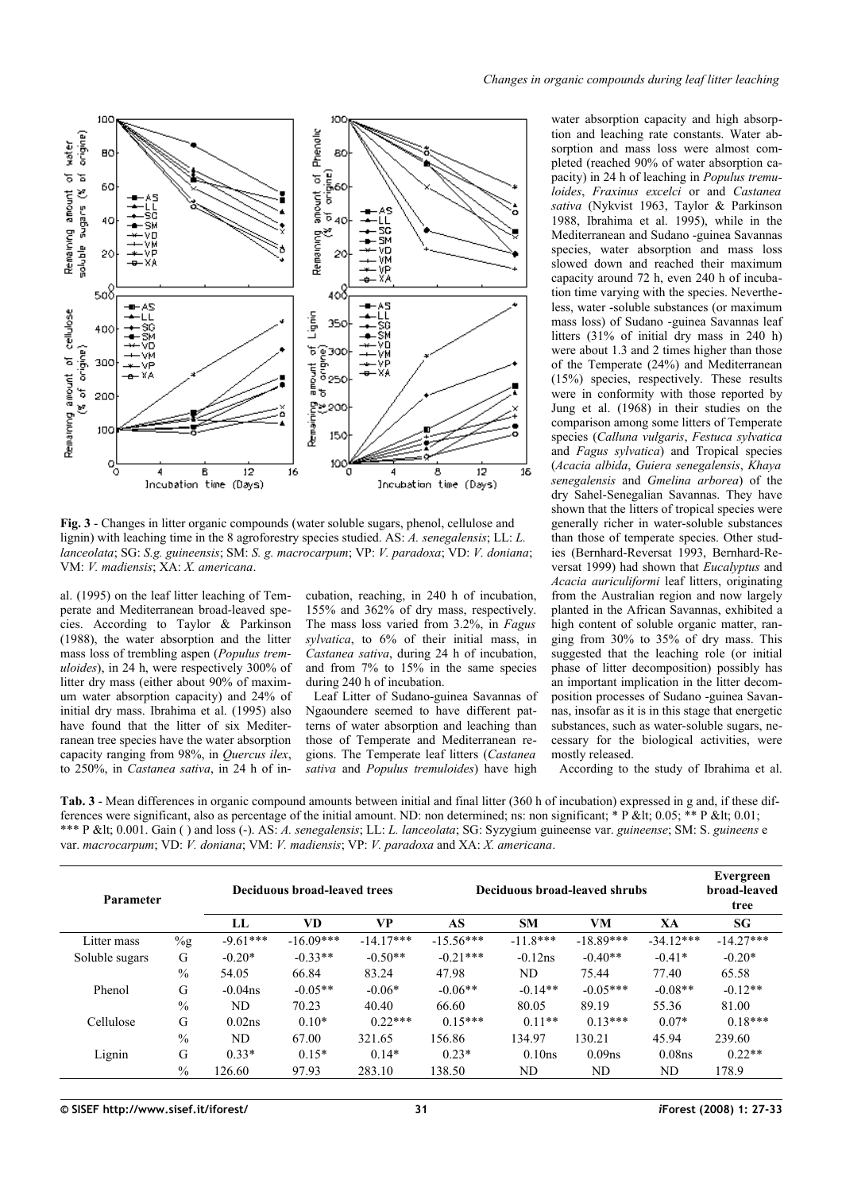

<span id="page-4-1"></span>**Fig. 3** - Changes in litter organic compounds (water soluble sugars, phenol, cellulose and lignin) with leaching time in the 8 agroforestry species studied. AS: *A. senegalensis*; LL: *L. lanceolata*; SG: *S.g. guineensis*; SM: *S. g. macrocarpum*; VP: *V. paradoxa*; VD: *V. doniana*; VM: *V. madiensis*; XA: *X. americana*.

al. (1995) on the leaf litter leaching of Temperate and Mediterranean broad-leaved species. According to Taylor & Parkinson (1988), the water absorption and the litter mass loss of trembling aspen (*Populus tremuloides*), in 24 h, were respectively 300% of litter dry mass (either about 90% of maximum water absorption capacity) and 24% of initial dry mass. Ibrahima et al. (1995) also have found that the litter of six Mediterranean tree species have the water absorption capacity ranging from 98%, in *Quercus ilex*, to 250%, in *Castanea sativa*, in 24 h of in-

cubation, reaching, in 240 h of incubation, 155% and 362% of dry mass, respectively. The mass loss varied from 3.2%, in *Fagus sylvatica*, to 6% of their initial mass, in *Castanea sativa*, during 24 h of incubation, and from 7% to 15% in the same species during 240 h of incubation.

Leaf Litter of Sudano-guinea Savannas of Ngaoundere seemed to have different patterns of water absorption and leaching than those of Temperate and Mediterranean regions. The Temperate leaf litters (*Castanea sativa* and *Populus tremuloides*) have high

water absorption capacity and high absorption and leaching rate constants. Water absorption and mass loss were almost completed (reached 90% of water absorption capacity) in 24 h of leaching in *Populus tremuloides*, *Fraxinus excelci* or and *Castanea sativa* (Nykvist 1963, Taylor & Parkinson 1988, Ibrahima et al. 1995), while in the Mediterranean and Sudano -guinea Savannas species, water absorption and mass loss slowed down and reached their maximum capacity around 72 h, even 240 h of incubation time varying with the species. Nevertheless, water -soluble substances (or maximum mass loss) of Sudano -guinea Savannas leaf litters (31% of initial dry mass in 240 h) were about 1.3 and 2 times higher than those of the Temperate (24%) and Mediterranean (15%) species, respectively. These results were in conformity with those reported by Jung et al. (1968) in their studies on the comparison among some litters of Temperate species (*Calluna vulgaris*, *Festuca sylvatica* and *Fagus sylvatica*) and Tropical species (*Acacia albida*, *Guiera senegalensis*, *Khaya senegalensis* and *Gmelina arborea*) of the dry Sahel-Senegalian Savannas. They have shown that the litters of tropical species were generally richer in water-soluble substances than those of temperate species. Other studies (Bernhard-Reversat 1993, Bernhard-Reversat 1999) had shown that *Eucalyptus* and *Acacia auriculiformi* leaf litters, originating from the Australian region and now largely planted in the African Savannas, exhibited a high content of soluble organic matter, ranging from 30% to 35% of dry mass. This suggested that the leaching role (or initial phase of litter decomposition) possibly has an important implication in the litter decomposition processes of Sudano -guinea Savannas, insofar as it is in this stage that energetic substances, such as water-soluble sugars, necessary for the biological activities, were mostly released.

According to the study of Ibrahima et al.

<span id="page-4-0"></span>**Tab. 3** - Mean differences in organic compound amounts between initial and final litter (360 h of incubation) expressed in g and, if these differences were significant, also as percentage of the initial amount. ND: non determined; ns: non significant; \* P &It; 0.05; \*\* P &It; 0.01; \*\*\* P < 0.001. Gain ( ) and loss (-). AS: *A. senegalensis*; LL: *L. lanceolata*; SG: Syzygium guineense var. *guineense*; SM: S. *guineens* e var. *macrocarpum*; VD: *V. doniana*; VM: *V. madiensis*; VP: *V. paradoxa* and XA: *X. americana*.

| Parameter      |               |            | Deciduous broad-leaved trees |             | Deciduous broad-leaved shrubs |            | Evergreen<br>broad-leaved<br>tree |                    |             |
|----------------|---------------|------------|------------------------------|-------------|-------------------------------|------------|-----------------------------------|--------------------|-------------|
|                |               | LL         | VD                           | VP          | AS                            | <b>SM</b>  | VM                                | XA                 | SG          |
| Litter mass    | $\%g$         | $-9.61***$ | $-16.09***$                  | $-14.17***$ | $-15.56***$                   | $-11.8***$ | $-18.89***$                       | $-34.12***$        | $-14.27***$ |
| Soluble sugars | G             | $-0.20*$   | $-0.33**$                    | $-0.50**$   | $-0.21***$                    | $-0.12$ ns | $-0.40**$                         | $-0.41*$           | $-0.20*$    |
|                | $\frac{0}{0}$ | 54.05      | 66.84                        | 83.24       | 47.98                         | ND         | 75.44                             | 77.40              | 65.58       |
| Phenol         | G             | $-0.04$ ns | $-0.05**$                    | $-0.06*$    | $-0.06**$                     | $-0.14**$  | $-0.05***$                        | $-0.08**$          | $-0.12**$   |
|                | $\frac{0}{0}$ | ND         | 70.23                        | 40.40       | 66.60                         | 80.05      | 89.19                             | 55.36              | 81.00       |
| Cellulose      | G             | 0.02ns     | $0.10*$                      | $0.22***$   | $0.15***$                     | $0.11**$   | $0.13***$                         | $0.07*$            | $0.18***$   |
|                | $\frac{0}{0}$ | ND.        | 67.00                        | 321.65      | 156.86                        | 134.97     | 130.21                            | 45.94              | 239.60      |
| Lignin         | G             | $0.33*$    | $0.15*$                      | $0.14*$     | $0.23*$                       | 0.10ns     | 0.09 <sub>ns</sub>                | 0.08 <sub>ns</sub> | $0.22**$    |
|                | $\frac{0}{0}$ | 126.60     | 97.93                        | 283.10      | 138.50                        | ND         | ND                                | ND                 | 178.9       |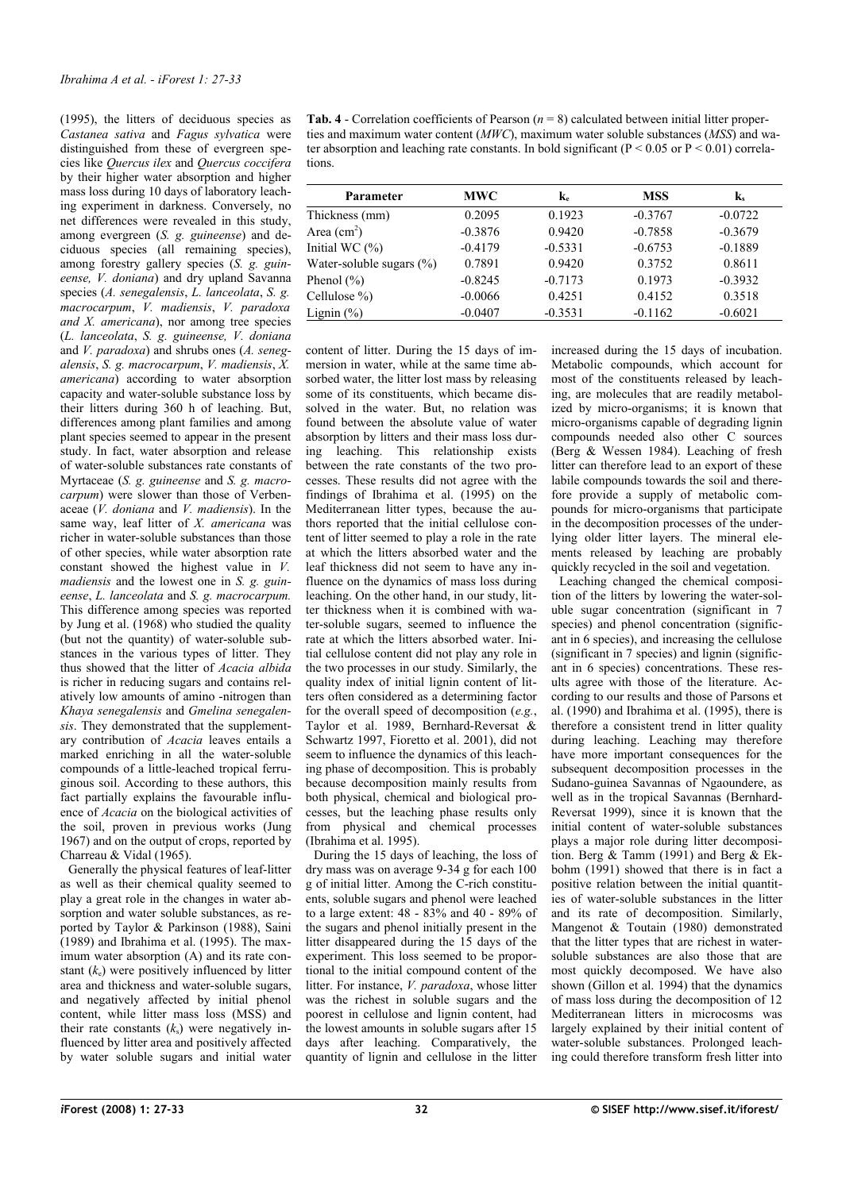(1995), the litters of deciduous species as *Castanea sativa* and *Fagus sylvatica* were distinguished from these of evergreen species like *Quercus ilex* and *Quercus coccifera* by their higher water absorption and higher mass loss during 10 days of laboratory leaching experiment in darkness. Conversely, no net differences were revealed in this study, among evergreen (*S. g. guineense*) and deciduous species (all remaining species), among forestry gallery species (*S. g. guineense, V. doniana*) and dry upland Savanna species (*A. senegalensis*, *L. lanceolata*, *S. g. macrocarpum*, *V. madiensis*, *V. paradoxa and X. americana*), nor among tree species (*L. lanceolata*, *S. g. guineense, V. doniana* and *V. paradoxa*) and shrubs ones (*A. senegalensis*, *S. g. macrocarpum*, *V. madiensis*, *X. americana*) according to water absorption capacity and water-soluble substance loss by their litters during 360 h of leaching. But, differences among plant families and among plant species seemed to appear in the present study. In fact, water absorption and release of water-soluble substances rate constants of Myrtaceae (*S. g. guineense* and *S. g. macrocarpum*) were slower than those of Verbenaceae (*V. doniana* and *V. madiensis*). In the same way, leaf litter of *X. americana* was richer in water-soluble substances than those of other species, while water absorption rate constant showed the highest value in *V. madiensis* and the lowest one in *S. g. guineense*, *L. lanceolata* and *S. g. macrocarpum.* This difference among species was reported by Jung et al. (1968) who studied the quality (but not the quantity) of water-soluble substances in the various types of litter. They thus showed that the litter of *Acacia albida* is richer in reducing sugars and contains relatively low amounts of amino -nitrogen than *Khaya senegalensis* and *Gmelina senegalensis*. They demonstrated that the supplementary contribution of *Acacia* leaves entails a marked enriching in all the water-soluble compounds of a little-leached tropical ferruginous soil. According to these authors, this fact partially explains the favourable influence of *Acacia* on the biological activities of the soil, proven in previous works (Jung 1967) and on the output of crops, reported by Charreau & Vidal (1965).

Generally the physical features of leaf-litter as well as their chemical quality seemed to play a great role in the changes in water absorption and water soluble substances, as reported by Taylor & Parkinson (1988), Saini  $(1989)$  and Ibrahima et al.  $(1995)$ . The maximum water absorption (A) and its rate constant (*k*e) were positively influenced by litter area and thickness and water-soluble sugars, and negatively affected by initial phenol content, while litter mass loss (MSS) and their rate constants  $(k<sub>s</sub>)$  were negatively influenced by litter area and positively affected by water soluble sugars and initial water <span id="page-5-0"></span>**Tab. 4** - Correlation coefficients of Pearson  $(n = 8)$  calculated between initial litter properties and maximum water content (*MWC*), maximum water soluble substances (*MSS*) and water absorption and leaching rate constants. In bold significant ( $P < 0.05$  or  $P < 0.01$ ) correlations.

| Parameter                    | <b>MWC</b> | k.        | <b>MSS</b> | $\mathbf{k}_s$ |
|------------------------------|------------|-----------|------------|----------------|
| Thickness (mm)               | 0.2095     | 0.1923    | $-0.3767$  | $-0.0722$      |
| Area $(cm2)$                 | $-0.3876$  | 0.9420    | $-0.7858$  | $-0.3679$      |
| Initial WC $(%)$             | $-0.4179$  | $-0.5331$ | $-0.6753$  | $-0.1889$      |
| Water-soluble sugars $(\% )$ | 0.7891     | 0.9420    | 0.3752     | 0.8611         |
| Phenol $(\% )$               | $-0.8245$  | $-0.7173$ | 0.1973     | $-0.3932$      |
| Cellulose $\%$ )             | $-0.0066$  | 0.4251    | 0.4152     | 0.3518         |
| Lignin $(\%)$                | $-0.0407$  | $-0.3531$ | $-0.1162$  | $-0.6021$      |

content of litter. During the 15 days of immersion in water, while at the same time absorbed water, the litter lost mass by releasing some of its constituents, which became dissolved in the water. But, no relation was found between the absolute value of water absorption by litters and their mass loss during leaching. This relationship exists between the rate constants of the two processes. These results did not agree with the findings of Ibrahima et al. (1995) on the Mediterranean litter types, because the authors reported that the initial cellulose content of litter seemed to play a role in the rate at which the litters absorbed water and the leaf thickness did not seem to have any influence on the dynamics of mass loss during leaching. On the other hand, in our study, litter thickness when it is combined with water-soluble sugars, seemed to influence the rate at which the litters absorbed water. Initial cellulose content did not play any role in the two processes in our study. Similarly, the quality index of initial lignin content of litters often considered as a determining factor for the overall speed of decomposition (*e.g.*, Taylor et al. 1989, Bernhard-Reversat & Schwartz 1997, Fioretto et al. 2001), did not seem to influence the dynamics of this leaching phase of decomposition. This is probably because decomposition mainly results from both physical, chemical and biological processes, but the leaching phase results only from physical and chemical processes (Ibrahima et al. 1995).

During the 15 days of leaching, the loss of dry mass was on average 9-34 g for each 100 g of initial litter. Among the C-rich constituents, soluble sugars and phenol were leached to a large extent: 48 - 83% and 40 - 89% of the sugars and phenol initially present in the litter disappeared during the 15 days of the experiment. This loss seemed to be proportional to the initial compound content of the litter. For instance, *V. paradoxa*, whose litter was the richest in soluble sugars and the poorest in cellulose and lignin content, had the lowest amounts in soluble sugars after 15 days after leaching. Comparatively, the quantity of lignin and cellulose in the litter

increased during the 15 days of incubation. Metabolic compounds, which account for most of the constituents released by leaching, are molecules that are readily metabolized by micro-organisms; it is known that micro-organisms capable of degrading lignin compounds needed also other C sources (Berg & Wessen 1984). Leaching of fresh litter can therefore lead to an export of these labile compounds towards the soil and therefore provide a supply of metabolic compounds for micro-organisms that participate in the decomposition processes of the underlying older litter layers. The mineral elements released by leaching are probably quickly recycled in the soil and vegetation.

Leaching changed the chemical composition of the litters by lowering the water-soluble sugar concentration (significant in 7 species) and phenol concentration (significant in 6 species), and increasing the cellulose (significant in 7 species) and lignin (significant in 6 species) concentrations. These results agree with those of the literature. According to our results and those of Parsons et al. (1990) and Ibrahima et al. (1995), there is therefore a consistent trend in litter quality during leaching. Leaching may therefore have more important consequences for the subsequent decomposition processes in the Sudano-guinea Savannas of Ngaoundere, as well as in the tropical Savannas (Bernhard-Reversat 1999), since it is known that the initial content of water-soluble substances plays a major role during litter decomposition. Berg  $\&$  Tamm (1991) and Berg  $\&$  Ekbohm (1991) showed that there is in fact a positive relation between the initial quantities of water-soluble substances in the litter and its rate of decomposition. Similarly, Mangenot & Toutain (1980) demonstrated that the litter types that are richest in watersoluble substances are also those that are most quickly decomposed. We have also shown (Gillon et al. 1994) that the dynamics of mass loss during the decomposition of 12 Mediterranean litters in microcosms was largely explained by their initial content of water-soluble substances. Prolonged leaching could therefore transform fresh litter into